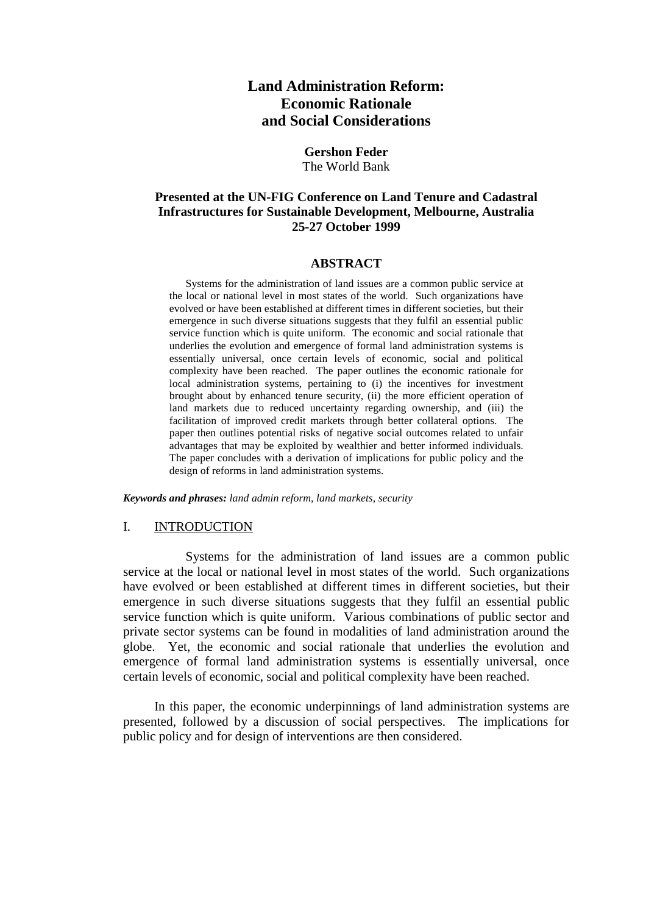# **Land Administration Reform: Economic Rationale and Social Considerations**

#### **Gershon Feder** The World Bank

# **Presented at the UN-FIG Conference on Land Tenure and Cadastral Infrastructures for Sustainable Development, Melbourne, Australia 25-27 October 1999**

## **ABSTRACT**

Systems for the administration of land issues are a common public service at the local or national level in most states of the world. Such organizations have evolved or have been established at different times in different societies, but their emergence in such diverse situations suggests that they fulfil an essential public service function which is quite uniform. The economic and social rationale that underlies the evolution and emergence of formal land administration systems is essentially universal, once certain levels of economic, social and political complexity have been reached. The paper outlines the economic rationale for local administration systems, pertaining to (i) the incentives for investment brought about by enhanced tenure security, (ii) the more efficient operation of land markets due to reduced uncertainty regarding ownership, and (iii) the facilitation of improved credit markets through better collateral options. The paper then outlines potential risks of negative social outcomes related to unfair advantages that may be exploited by wealthier and better informed individuals. The paper concludes with a derivation of implications for public policy and the design of reforms in land administration systems.

*Keywords and phrases: land admin reform, land markets, security*

#### I. INTRODUCTION

Systems for the administration of land issues are a common public service at the local or national level in most states of the world. Such organizations have evolved or been established at different times in different societies, but their emergence in such diverse situations suggests that they fulfil an essential public service function which is quite uniform. Various combinations of public sector and private sector systems can be found in modalities of land administration around the globe. Yet, the economic and social rationale that underlies the evolution and emergence of formal land administration systems is essentially universal, once certain levels of economic, social and political complexity have been reached.

In this paper, the economic underpinnings of land administration systems are presented, followed by a discussion of social perspectives. The implications for public policy and for design of interventions are then considered.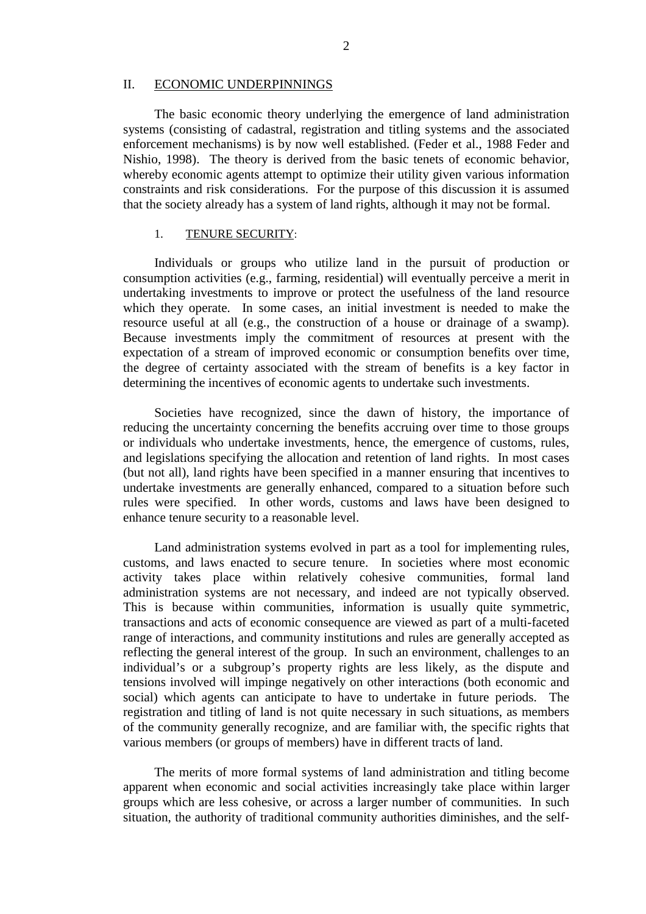#### II. ECONOMIC UNDERPINNINGS

The basic economic theory underlying the emergence of land administration systems (consisting of cadastral, registration and titling systems and the associated enforcement mechanisms) is by now well established. (Feder et al., 1988 Feder and Nishio, 1998). The theory is derived from the basic tenets of economic behavior, whereby economic agents attempt to optimize their utility given various information constraints and risk considerations. For the purpose of this discussion it is assumed that the society already has a system of land rights, although it may not be formal.

#### 1. TENURE SECURITY:

Individuals or groups who utilize land in the pursuit of production or consumption activities (e.g., farming, residential) will eventually perceive a merit in undertaking investments to improve or protect the usefulness of the land resource which they operate. In some cases, an initial investment is needed to make the resource useful at all (e.g., the construction of a house or drainage of a swamp). Because investments imply the commitment of resources at present with the expectation of a stream of improved economic or consumption benefits over time, the degree of certainty associated with the stream of benefits is a key factor in determining the incentives of economic agents to undertake such investments.

Societies have recognized, since the dawn of history, the importance of reducing the uncertainty concerning the benefits accruing over time to those groups or individuals who undertake investments, hence, the emergence of customs, rules, and legislations specifying the allocation and retention of land rights. In most cases (but not all), land rights have been specified in a manner ensuring that incentives to undertake investments are generally enhanced, compared to a situation before such rules were specified. In other words, customs and laws have been designed to enhance tenure security to a reasonable level.

Land administration systems evolved in part as a tool for implementing rules, customs, and laws enacted to secure tenure. In societies where most economic activity takes place within relatively cohesive communities, formal land administration systems are not necessary, and indeed are not typically observed. This is because within communities, information is usually quite symmetric, transactions and acts of economic consequence are viewed as part of a multi-faceted range of interactions, and community institutions and rules are generally accepted as reflecting the general interest of the group. In such an environment, challenges to an individual's or a subgroup's property rights are less likely, as the dispute and tensions involved will impinge negatively on other interactions (both economic and social) which agents can anticipate to have to undertake in future periods. The registration and titling of land is not quite necessary in such situations, as members of the community generally recognize, and are familiar with, the specific rights that various members (or groups of members) have in different tracts of land.

The merits of more formal systems of land administration and titling become apparent when economic and social activities increasingly take place within larger groups which are less cohesive, or across a larger number of communities. In such situation, the authority of traditional community authorities diminishes, and the self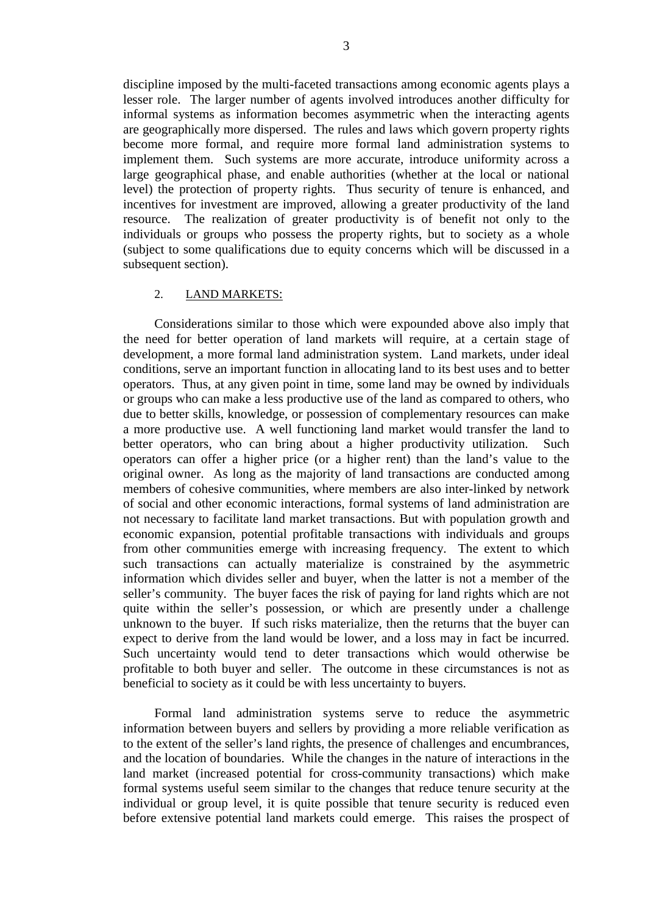discipline imposed by the multi-faceted transactions among economic agents plays a lesser role. The larger number of agents involved introduces another difficulty for informal systems as information becomes asymmetric when the interacting agents are geographically more dispersed. The rules and laws which govern property rights become more formal, and require more formal land administration systems to implement them. Such systems are more accurate, introduce uniformity across a large geographical phase, and enable authorities (whether at the local or national level) the protection of property rights. Thus security of tenure is enhanced, and incentives for investment are improved, allowing a greater productivity of the land resource. The realization of greater productivity is of benefit not only to the individuals or groups who possess the property rights, but to society as a whole (subject to some qualifications due to equity concerns which will be discussed in a subsequent section).

#### 2. LAND MARKETS:

Considerations similar to those which were expounded above also imply that the need for better operation of land markets will require, at a certain stage of development, a more formal land administration system. Land markets, under ideal conditions, serve an important function in allocating land to its best uses and to better operators. Thus, at any given point in time, some land may be owned by individuals or groups who can make a less productive use of the land as compared to others, who due to better skills, knowledge, or possession of complementary resources can make a more productive use. A well functioning land market would transfer the land to better operators, who can bring about a higher productivity utilization. Such operators can offer a higher price (or a higher rent) than the land's value to the original owner. As long as the majority of land transactions are conducted among members of cohesive communities, where members are also inter-linked by network of social and other economic interactions, formal systems of land administration are not necessary to facilitate land market transactions. But with population growth and economic expansion, potential profitable transactions with individuals and groups from other communities emerge with increasing frequency. The extent to which such transactions can actually materialize is constrained by the asymmetric information which divides seller and buyer, when the latter is not a member of the seller's community. The buyer faces the risk of paying for land rights which are not quite within the seller's possession, or which are presently under a challenge unknown to the buyer. If such risks materialize, then the returns that the buyer can expect to derive from the land would be lower, and a loss may in fact be incurred. Such uncertainty would tend to deter transactions which would otherwise be profitable to both buyer and seller. The outcome in these circumstances is not as beneficial to society as it could be with less uncertainty to buyers.

Formal land administration systems serve to reduce the asymmetric information between buyers and sellers by providing a more reliable verification as to the extent of the seller's land rights, the presence of challenges and encumbrances, and the location of boundaries. While the changes in the nature of interactions in the land market (increased potential for cross-community transactions) which make formal systems useful seem similar to the changes that reduce tenure security at the individual or group level, it is quite possible that tenure security is reduced even before extensive potential land markets could emerge. This raises the prospect of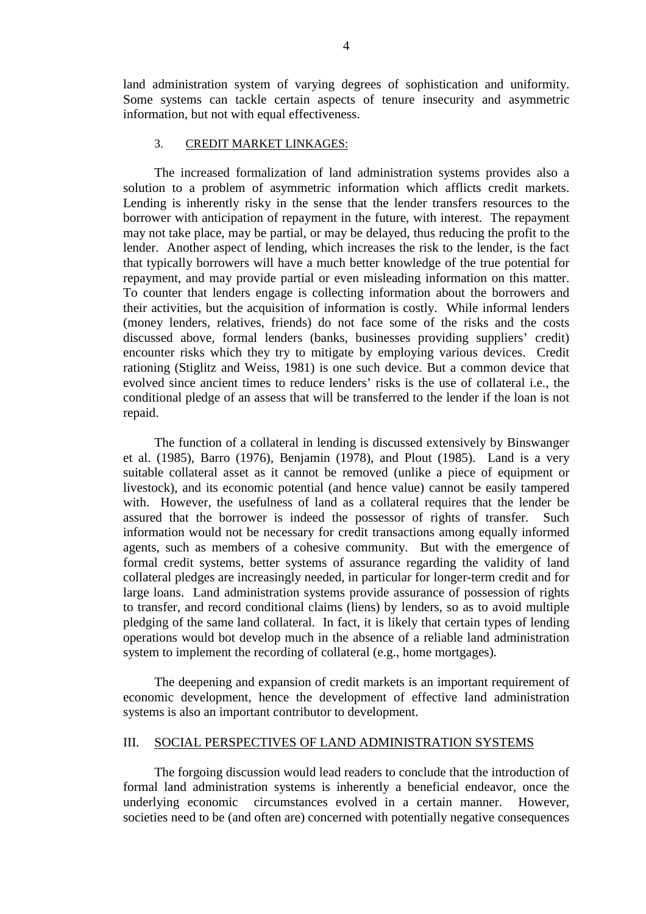land administration system of varying degrees of sophistication and uniformity. Some systems can tackle certain aspects of tenure insecurity and asymmetric information, but not with equal effectiveness.

#### 3. CREDIT MARKET LINKAGES:

The increased formalization of land administration systems provides also a solution to a problem of asymmetric information which afflicts credit markets. Lending is inherently risky in the sense that the lender transfers resources to the borrower with anticipation of repayment in the future, with interest. The repayment may not take place, may be partial, or may be delayed, thus reducing the profit to the lender. Another aspect of lending, which increases the risk to the lender, is the fact that typically borrowers will have a much better knowledge of the true potential for repayment, and may provide partial or even misleading information on this matter. To counter that lenders engage is collecting information about the borrowers and their activities, but the acquisition of information is costly. While informal lenders (money lenders, relatives, friends) do not face some of the risks and the costs discussed above, formal lenders (banks, businesses providing suppliers' credit) encounter risks which they try to mitigate by employing various devices. Credit rationing (Stiglitz and Weiss, 1981) is one such device. But a common device that evolved since ancient times to reduce lenders' risks is the use of collateral i.e., the conditional pledge of an assess that will be transferred to the lender if the loan is not repaid.

The function of a collateral in lending is discussed extensively by Binswanger et al. (1985), Barro (1976), Benjamin (1978), and Plout (1985). Land is a very suitable collateral asset as it cannot be removed (unlike a piece of equipment or livestock), and its economic potential (and hence value) cannot be easily tampered with. However, the usefulness of land as a collateral requires that the lender be assured that the borrower is indeed the possessor of rights of transfer. Such information would not be necessary for credit transactions among equally informed agents, such as members of a cohesive community. But with the emergence of formal credit systems, better systems of assurance regarding the validity of land collateral pledges are increasingly needed, in particular for longer-term credit and for large loans. Land administration systems provide assurance of possession of rights to transfer, and record conditional claims (liens) by lenders, so as to avoid multiple pledging of the same land collateral. In fact, it is likely that certain types of lending operations would bot develop much in the absence of a reliable land administration system to implement the recording of collateral (e.g., home mortgages).

The deepening and expansion of credit markets is an important requirement of economic development, hence the development of effective land administration systems is also an important contributor to development.

## III. SOCIAL PERSPECTIVES OF LAND ADMINISTRATION SYSTEMS

The forgoing discussion would lead readers to conclude that the introduction of formal land administration systems is inherently a beneficial endeavor, once the underlying economic circumstances evolved in a certain manner. However, societies need to be (and often are) concerned with potentially negative consequences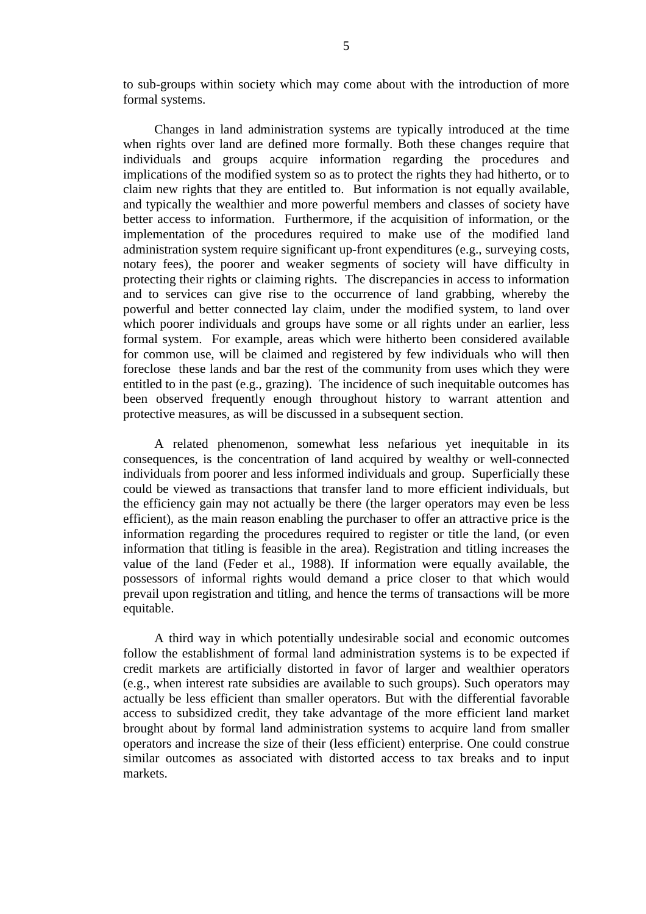to sub-groups within society which may come about with the introduction of more formal systems.

Changes in land administration systems are typically introduced at the time when rights over land are defined more formally. Both these changes require that individuals and groups acquire information regarding the procedures and implications of the modified system so as to protect the rights they had hitherto, or to claim new rights that they are entitled to. But information is not equally available, and typically the wealthier and more powerful members and classes of society have better access to information. Furthermore, if the acquisition of information, or the implementation of the procedures required to make use of the modified land administration system require significant up-front expenditures (e.g., surveying costs, notary fees), the poorer and weaker segments of society will have difficulty in protecting their rights or claiming rights. The discrepancies in access to information and to services can give rise to the occurrence of land grabbing, whereby the powerful and better connected lay claim, under the modified system, to land over which poorer individuals and groups have some or all rights under an earlier, less formal system. For example, areas which were hitherto been considered available for common use, will be claimed and registered by few individuals who will then foreclose these lands and bar the rest of the community from uses which they were entitled to in the past (e.g., grazing). The incidence of such inequitable outcomes has been observed frequently enough throughout history to warrant attention and protective measures, as will be discussed in a subsequent section.

A related phenomenon, somewhat less nefarious yet inequitable in its consequences, is the concentration of land acquired by wealthy or well-connected individuals from poorer and less informed individuals and group. Superficially these could be viewed as transactions that transfer land to more efficient individuals, but the efficiency gain may not actually be there (the larger operators may even be less efficient), as the main reason enabling the purchaser to offer an attractive price is the information regarding the procedures required to register or title the land, (or even information that titling is feasible in the area). Registration and titling increases the value of the land (Feder et al., 1988). If information were equally available, the possessors of informal rights would demand a price closer to that which would prevail upon registration and titling, and hence the terms of transactions will be more equitable.

A third way in which potentially undesirable social and economic outcomes follow the establishment of formal land administration systems is to be expected if credit markets are artificially distorted in favor of larger and wealthier operators (e.g., when interest rate subsidies are available to such groups). Such operators may actually be less efficient than smaller operators. But with the differential favorable access to subsidized credit, they take advantage of the more efficient land market brought about by formal land administration systems to acquire land from smaller operators and increase the size of their (less efficient) enterprise. One could construe similar outcomes as associated with distorted access to tax breaks and to input markets.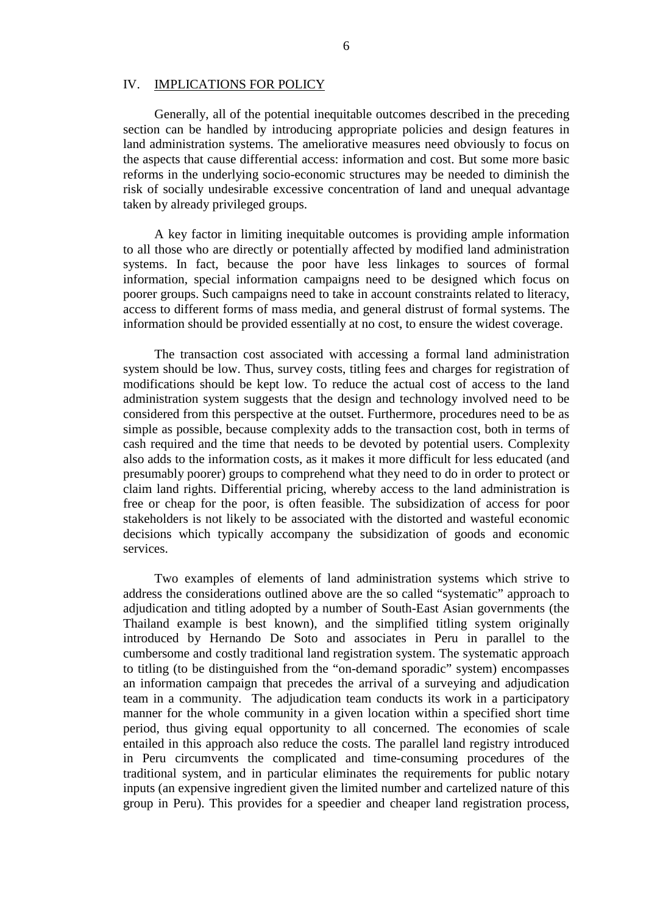#### IV. IMPLICATIONS FOR POLICY

Generally, all of the potential inequitable outcomes described in the preceding section can be handled by introducing appropriate policies and design features in land administration systems. The ameliorative measures need obviously to focus on the aspects that cause differential access: information and cost. But some more basic reforms in the underlying socio-economic structures may be needed to diminish the risk of socially undesirable excessive concentration of land and unequal advantage taken by already privileged groups.

A key factor in limiting inequitable outcomes is providing ample information to all those who are directly or potentially affected by modified land administration systems. In fact, because the poor have less linkages to sources of formal information, special information campaigns need to be designed which focus on poorer groups. Such campaigns need to take in account constraints related to literacy, access to different forms of mass media, and general distrust of formal systems. The information should be provided essentially at no cost, to ensure the widest coverage.

The transaction cost associated with accessing a formal land administration system should be low. Thus, survey costs, titling fees and charges for registration of modifications should be kept low. To reduce the actual cost of access to the land administration system suggests that the design and technology involved need to be considered from this perspective at the outset. Furthermore, procedures need to be as simple as possible, because complexity adds to the transaction cost, both in terms of cash required and the time that needs to be devoted by potential users. Complexity also adds to the information costs, as it makes it more difficult for less educated (and presumably poorer) groups to comprehend what they need to do in order to protect or claim land rights. Differential pricing, whereby access to the land administration is free or cheap for the poor, is often feasible. The subsidization of access for poor stakeholders is not likely to be associated with the distorted and wasteful economic decisions which typically accompany the subsidization of goods and economic services.

Two examples of elements of land administration systems which strive to address the considerations outlined above are the so called "systematic" approach to adjudication and titling adopted by a number of South-East Asian governments (the Thailand example is best known), and the simplified titling system originally introduced by Hernando De Soto and associates in Peru in parallel to the cumbersome and costly traditional land registration system. The systematic approach to titling (to be distinguished from the "on-demand sporadic" system) encompasses an information campaign that precedes the arrival of a surveying and adjudication team in a community. The adjudication team conducts its work in a participatory manner for the whole community in a given location within a specified short time period, thus giving equal opportunity to all concerned. The economies of scale entailed in this approach also reduce the costs. The parallel land registry introduced in Peru circumvents the complicated and time-consuming procedures of the traditional system, and in particular eliminates the requirements for public notary inputs (an expensive ingredient given the limited number and cartelized nature of this group in Peru). This provides for a speedier and cheaper land registration process,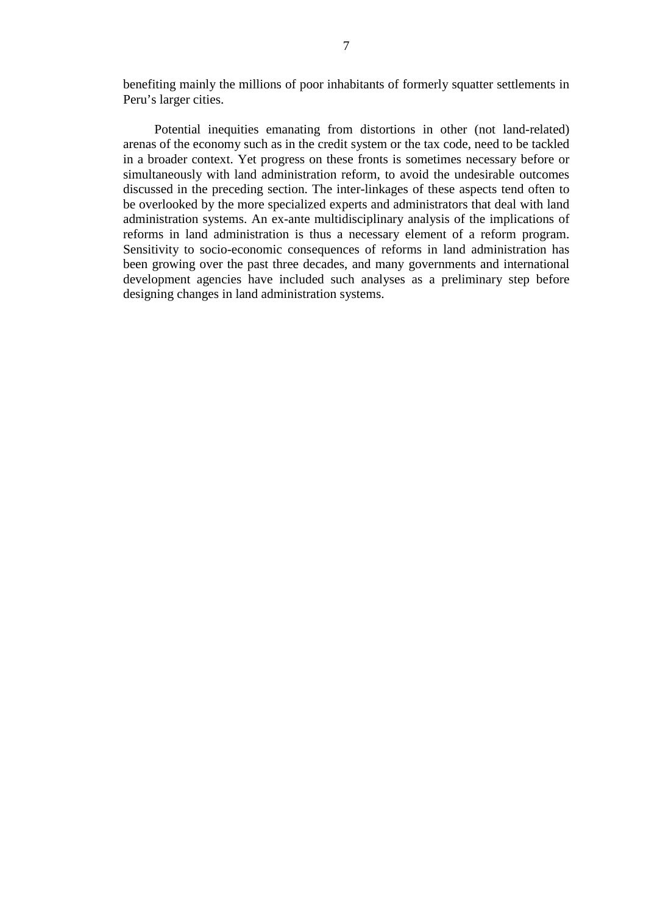benefiting mainly the millions of poor inhabitants of formerly squatter settlements in Peru's larger cities.

Potential inequities emanating from distortions in other (not land-related) arenas of the economy such as in the credit system or the tax code, need to be tackled in a broader context. Yet progress on these fronts is sometimes necessary before or simultaneously with land administration reform, to avoid the undesirable outcomes discussed in the preceding section. The inter-linkages of these aspects tend often to be overlooked by the more specialized experts and administrators that deal with land administration systems. An ex-ante multidisciplinary analysis of the implications of reforms in land administration is thus a necessary element of a reform program. Sensitivity to socio-economic consequences of reforms in land administration has been growing over the past three decades, and many governments and international development agencies have included such analyses as a preliminary step before designing changes in land administration systems.